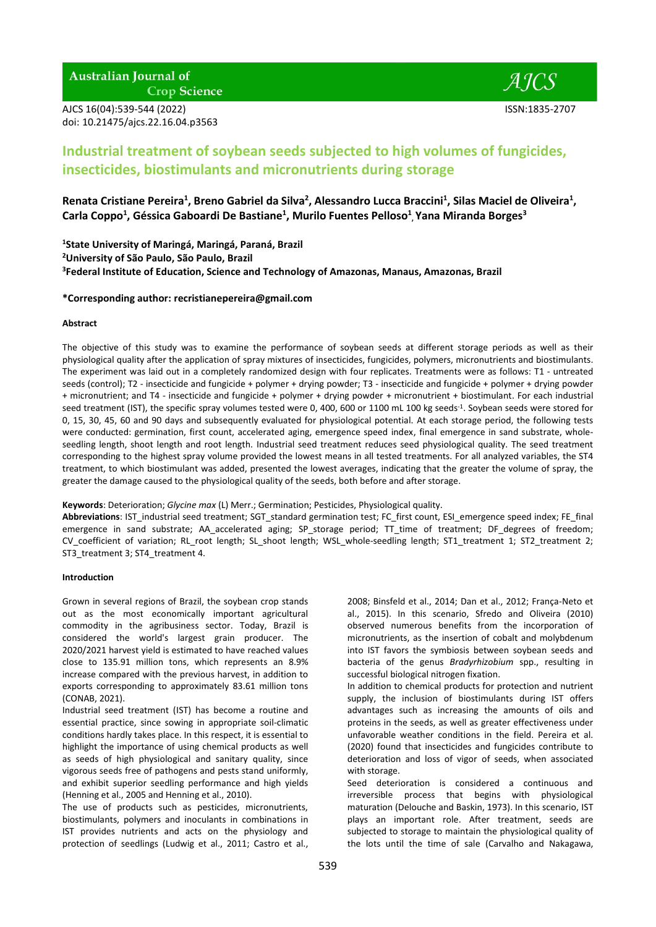# **Australian Journal of**

**Crop Science** 

AJCS 16(04):539-544 (2022) ISSN:1835-2707 doi: 10.21475/ajcs.22.16.04.p3563



## **Industrial treatment of soybean seeds subjected to high volumes of fungicides, insecticides, biostimulants and micronutrients during storage**

Renata Cristiane Pereira<sup>1</sup>, Breno Gabriel da Silva<sup>2</sup>, Alessandro Lucca Braccini<sup>1</sup>, Silas Maciel de Oliveira<sup>1</sup>, **Carla Coppo<sup>1</sup> , Géssica Gaboardi De Bastiane<sup>1</sup> , Murilo Fuentes Pelloso<sup>1</sup> , Yana Miranda Borges<sup>3</sup>**

**<sup>1</sup>State University of Maringá, Maringá, Paraná, Brazil <sup>2</sup>University of São Paulo, São Paulo, Brazil 3 Federal Institute of Education, Science and Technology of Amazonas, Manaus, Amazonas, Brazil**

#### **\*Corresponding author: [recristianepereira@gmail.com](mailto:recristianepereira@gmail.com)**

## **Abstract**

The objective of this study was to examine the performance of soybean seeds at different storage periods as well as their physiological quality after the application of spray mixtures of insecticides, fungicides, polymers, micronutrients and biostimulants. The experiment was laid out in a completely randomized design with four replicates. Treatments were as follows: T1 - untreated seeds (control); T2 - insecticide and fungicide + polymer + drying powder; T3 - insecticide and fungicide + polymer + drying powder + micronutrient; and T4 - insecticide and fungicide + polymer + drying powder + micronutrient + biostimulant. For each industrial seed treatment (IST), the specific spray volumes tested were 0, 400, 600 or 1100 mL 100 kg seeds<sup>-1</sup>. Soybean seeds were stored for 0, 15, 30, 45, 60 and 90 days and subsequently evaluated for physiological potential. At each storage period, the following tests were conducted: germination, first count, accelerated aging, emergence speed index, final emergence in sand substrate, wholeseedling length, shoot length and root length. Industrial seed treatment reduces seed physiological quality. The seed treatment corresponding to the highest spray volume provided the lowest means in all tested treatments. For all analyzed variables, the ST4 treatment, to which biostimulant was added, presented the lowest averages, indicating that the greater the volume of spray, the greater the damage caused to the physiological quality of the seeds, both before and after storage.

## **Keywords**: Deterioration; *Glycine max* (L) Merr.; Germination; Pesticides, Physiological quality.

Abbreviations: IST\_industrial seed treatment; SGT\_standard germination test; FC\_first count, ESI\_emergence speed index; FE\_final emergence in sand substrate; AA\_accelerated aging; SP\_storage period; TT\_time of treatment; DF\_degrees of freedom; CV\_coefficient of variation; RL\_root length; SL\_shoot length; WSL\_whole-seedling length; ST1\_treatment 1; ST2\_treatment 2; ST3\_treatment 3; ST4\_treatment 4.

#### **Introduction**

Grown in several regions of Brazil, the soybean crop stands out as the most economically important agricultural commodity in the agribusiness sector. Today, Brazil is considered the world's largest grain producer. The 2020/2021 harvest yield is estimated to have reached values close to 135.91 million tons, which represents an 8.9% increase compared with the previous harvest, in addition to exports corresponding to approximately 83.61 million tons (CONAB, 2021).

Industrial seed treatment (IST) has become a routine and essential practice, since sowing in appropriate soil-climatic conditions hardly takes place. In this respect, it is essential to highlight the importance of using chemical products as well as seeds of high physiological and sanitary quality, since vigorous seeds free of pathogens and pests stand uniformly, and exhibit superior seedling performance and high yields (Henning et al., 2005 and Henning et al., 2010).

The use of products such as pesticides, micronutrients, biostimulants, polymers and inoculants in combinations in IST provides nutrients and acts on the physiology and protection of seedlings (Ludwig et al., 2011; Castro et al., 2008; Binsfeld et al., 2014; Dan et al., 2012; França-Neto et al., 2015). In this scenario, Sfredo and Oliveira (2010) observed numerous benefits from the incorporation of micronutrients, as the insertion of cobalt and molybdenum into IST favors the symbiosis between soybean seeds and bacteria of the genus *Bradyrhizobium* spp., resulting in successful biological nitrogen fixation.

In addition to chemical products for protection and nutrient supply, the inclusion of biostimulants during IST offers advantages such as increasing the amounts of oils and proteins in the seeds, as well as greater effectiveness under unfavorable weather conditions in the field. Pereira et al. (2020) found that insecticides and fungicides contribute to deterioration and loss of vigor of seeds, when associated with storage.

Seed deterioration is considered a continuous and irreversible process that begins with physiological maturation (Delouche and Baskin, 1973). In this scenario, IST plays an important role. After treatment, seeds are subjected to storage to maintain the physiological quality of the lots until the time of sale (Carvalho and Nakagawa,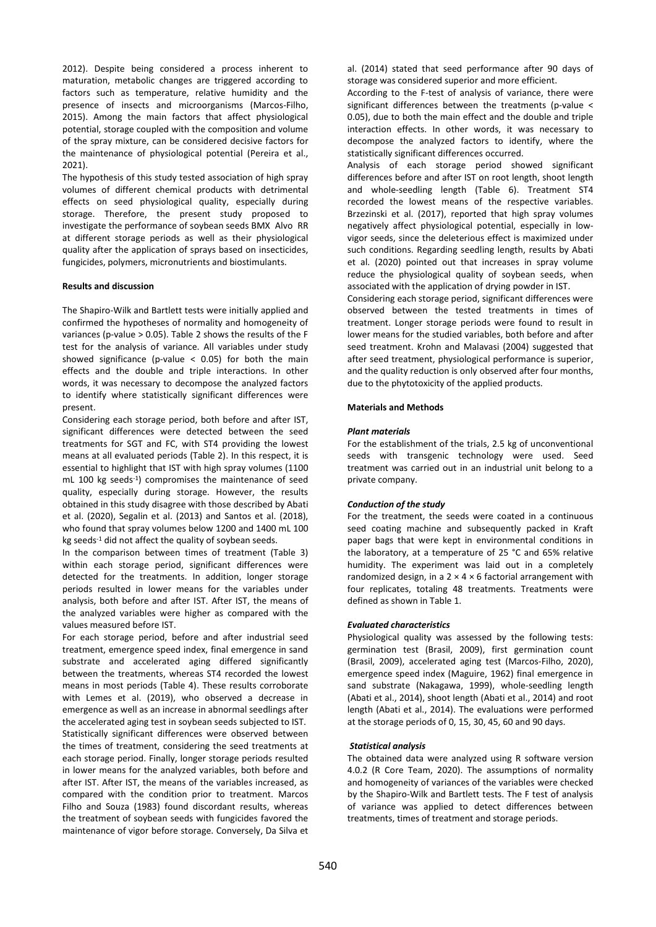2012). Despite being considered a process inherent to maturation, metabolic changes are triggered according to factors such as temperature, relative humidity and the presence of insects and microorganisms (Marcos-Filho, 2015). Among the main factors that affect physiological potential, storage coupled with the composition and volume of the spray mixture, can be considered decisive factors for the maintenance of physiological potential (Pereira et al., 2021).

The hypothesis of this study tested association of high spray volumes of different chemical products with detrimental effects on seed physiological quality, especially during storage. Therefore, the present study proposed to investigate the performance of soybean seeds BMX Alvo RR at different storage periods as well as their physiological quality after the application of sprays based on insecticides, fungicides, polymers, micronutrients and biostimulants.

#### **Results and discussion**

The Shapiro-Wilk and Bartlett tests were initially applied and confirmed the hypotheses of normality and homogeneity of variances (p-value > 0.05). Table 2 shows the results of the F test for the analysis of variance. All variables under study showed significance (p-value  $<$  0.05) for both the main effects and the double and triple interactions. In other words, it was necessary to decompose the analyzed factors to identify where statistically significant differences were present.

Considering each storage period, both before and after IST, significant differences were detected between the seed treatments for SGT and FC, with ST4 providing the lowest means at all evaluated periods (Table 2). In this respect, it is essential to highlight that IST with high spray volumes (1100 mL 100 kg seeds-1 ) compromises the maintenance of seed quality, especially during storage. However, the results obtained in this study disagree with those described by Abati et al. (2020), Segalin et al. (2013) and Santos et al. (2018), who found that spray volumes below 1200 and 1400 mL 100 kg seeds<sup>-1</sup> did not affect the quality of soybean seeds.

In the comparison between times of treatment (Table 3) within each storage period, significant differences were detected for the treatments. In addition, longer storage periods resulted in lower means for the variables under analysis, both before and after IST. After IST, the means of the analyzed variables were higher as compared with the values measured before IST.

For each storage period, before and after industrial seed treatment, emergence speed index, final emergence in sand substrate and accelerated aging differed significantly between the treatments, whereas ST4 recorded the lowest means in most periods (Table 4). These results corroborate with Lemes et al. (2019), who observed a decrease in emergence as well as an increase in abnormal seedlings after the accelerated aging test in soybean seeds subjected to IST. Statistically significant differences were observed between the times of treatment, considering the seed treatments at each storage period. Finally, longer storage periods resulted in lower means for the analyzed variables, both before and after IST. After IST, the means of the variables increased, as compared with the condition prior to treatment. Marcos Filho and Souza (1983) found discordant results, whereas the treatment of soybean seeds with fungicides favored the maintenance of vigor before storage. Conversely, Da Silva et al. (2014) stated that seed performance after 90 days of storage was considered superior and more efficient.

According to the F-test of analysis of variance, there were significant differences between the treatments (p-value < 0.05), due to both the main effect and the double and triple interaction effects. In other words, it was necessary to decompose the analyzed factors to identify, where the statistically significant differences occurred.

Analysis of each storage period showed significant differences before and after IST on root length, shoot length and whole-seedling length (Table 6). Treatment ST4 recorded the lowest means of the respective variables. Brzezinski et al. (2017), reported that high spray volumes negatively affect physiological potential, especially in lowvigor seeds, since the deleterious effect is maximized under such conditions. Regarding seedling length, results by Abati et al. (2020) pointed out that increases in spray volume reduce the physiological quality of soybean seeds, when associated with the application of drying powder in IST.

Considering each storage period, significant differences were observed between the tested treatments in times of treatment. Longer storage periods were found to result in lower means for the studied variables, both before and after seed treatment. Krohn and Malavasi (2004) suggested that after seed treatment, physiological performance is superior, and the quality reduction is only observed after four months. due to the phytotoxicity of the applied products.

## **Materials and Methods**

#### *Plant materials*

For the establishment of the trials, 2.5 kg of unconventional seeds with transgenic technology were used. Seed treatment was carried out in an industrial unit belong to a private company.

## *Conduction of the study*

For the treatment, the seeds were coated in a continuous seed coating machine and subsequently packed in Kraft paper bags that were kept in environmental conditions in the laboratory, at a temperature of 25 °C and 65% relative humidity. The experiment was laid out in a completely randomized design, in a  $2 \times 4 \times 6$  factorial arrangement with four replicates, totaling 48 treatments. Treatments were defined as shown in Table 1.

## *Evaluated characteristics*

Physiological quality was assessed by the following tests: germination test (Brasil, 2009), first germination count (Brasil, 2009), accelerated aging test (Marcos-Filho, 2020), emergence speed index (Maguire, 1962) final emergence in sand substrate (Nakagawa, 1999), whole-seedling length (Abati et al., 2014), shoot length (Abati et al., 2014) and root length (Abati et al., 2014). The evaluations were performed at the storage periods of 0, 15, 30, 45, 60 and 90 days.

#### *Statistical analysis*

The obtained data were analyzed using R software version 4.0.2 (R Core Team, 2020). The assumptions of normality and homogeneity of variances of the variables were checked by the Shapiro-Wilk and Bartlett tests. The F test of analysis of variance was applied to detect differences between treatments, times of treatment and storage periods.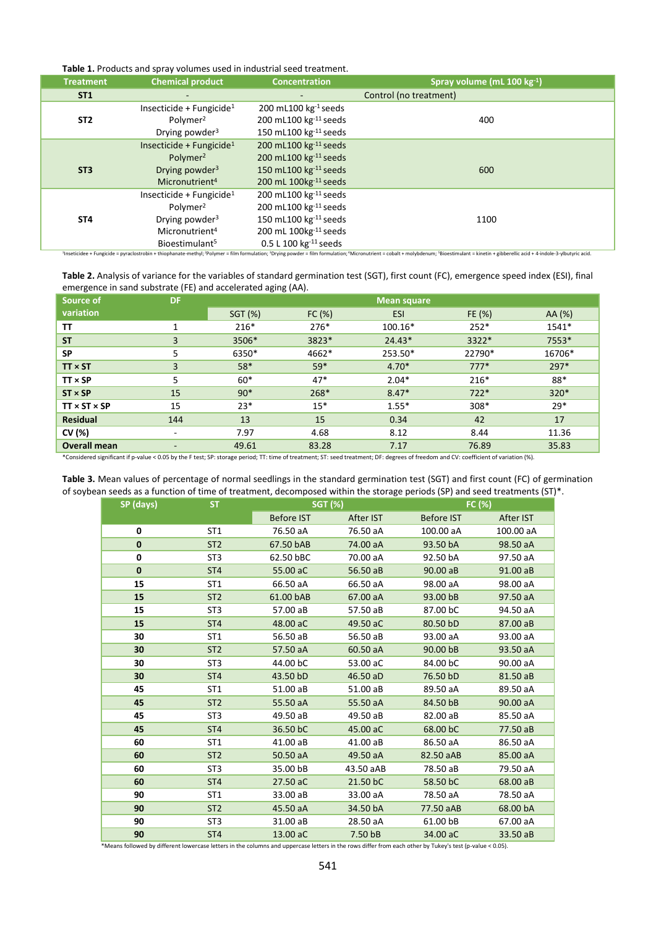| Table 1. Products and spray volumes used in industrial seed treatment. |  |  |  |
|------------------------------------------------------------------------|--|--|--|
|------------------------------------------------------------------------|--|--|--|

| <b>Treatment</b> | <b>Chemical product</b>                            | <b>Concentration</b>                                       | Spray volume (mL $100 \text{ kg}^{-1}$ )                                                                                                                                                                                                                                          |
|------------------|----------------------------------------------------|------------------------------------------------------------|-----------------------------------------------------------------------------------------------------------------------------------------------------------------------------------------------------------------------------------------------------------------------------------|
| <b>ST1</b>       |                                                    |                                                            | Control (no treatment)                                                                                                                                                                                                                                                            |
|                  | Insecticide + Fungicide <sup>1</sup>               | 200 mL100 $kg^{-1}$ seeds                                  |                                                                                                                                                                                                                                                                                   |
| ST <sub>2</sub>  | Polymer <sup>2</sup><br>Drying powder <sup>3</sup> | 200 mL100 kg-11 seeds<br>150 mL100 kg <sup>-11</sup> seeds | 400                                                                                                                                                                                                                                                                               |
|                  | Insecticide + Fungicide <sup>1</sup>               | 200 mL100 kg-11 seeds                                      |                                                                                                                                                                                                                                                                                   |
|                  | Polymer <sup>2</sup>                               | 200 mL100 $kg^{-11}$ seeds                                 |                                                                                                                                                                                                                                                                                   |
| ST <sub>3</sub>  | Drying powder <sup>3</sup>                         | 150 mL100 kg-11 seeds                                      | 600                                                                                                                                                                                                                                                                               |
|                  | Micronutrient <sup>4</sup>                         | 200 mL 100kg <sup>-11</sup> seeds                          |                                                                                                                                                                                                                                                                                   |
|                  | Insecticide + Fungicide <sup>1</sup>               | 200 mL100 kg <sup>-11</sup> seeds                          |                                                                                                                                                                                                                                                                                   |
|                  | Polymer <sup>2</sup>                               | 200 mL100 kg <sup>-11</sup> seeds                          |                                                                                                                                                                                                                                                                                   |
| ST <sub>4</sub>  | Drying powder <sup>3</sup>                         | 150 mL100 $kg^{-11}$ seeds                                 | 1100                                                                                                                                                                                                                                                                              |
|                  | Micronutrient <sup>4</sup>                         | 200 mL 100kg <sup>-11</sup> seeds                          |                                                                                                                                                                                                                                                                                   |
|                  | Bioestimulant <sup>5</sup>                         | 0.5 L 100 $kg^{-11}$ seeds                                 |                                                                                                                                                                                                                                                                                   |
|                  |                                                    |                                                            | <sup>1</sup> Inseticidee + Fungicide = pyraclostrobin + thiophanate-methyl; <sup>2</sup> Polymer = film formulation; <sup>3</sup> Drying powder = film formulation; <sup>4</sup> Micronutrient = cobalt + molybdenum; <sup>5</sup> Bioestimulant = kinetin + gibberellic acid + 4 |

| Source of                | <b>DF</b> | <b>Mean square</b> |        |                   |        |        |  |  |  |
|--------------------------|-----------|--------------------|--------|-------------------|--------|--------|--|--|--|
| variation                |           | SGT (%)            | FC(%)  | <b>ESI</b>        | FE (%) | AA (%) |  |  |  |
| TΤ                       | 1         | $216*$             | $276*$ | 100.16*           | $252*$ | 1541*  |  |  |  |
| <b>ST</b>                | 3         | 3506*              | 3823*  | 3322*<br>$24.43*$ |        | 7553*  |  |  |  |
| <b>SP</b>                | 5         | 6350*              | 4662*  | 253.50*           | 22790* | 16706* |  |  |  |
| $TT \times ST$           | 3         | 58*                | $59*$  | $4.70*$           | $777*$ | $297*$ |  |  |  |
| $TT \times SP$           | 5         | $60*$              | $47*$  | $2.04*$           | $216*$ | 88*    |  |  |  |
| $ST \times SP$           | 15        | $90*$              | $268*$ | $8.47*$<br>$722*$ |        | $320*$ |  |  |  |
| $TT \times ST \times SP$ | 15        | $23*$              | $15*$  | $1.55*$           | $308*$ | $29*$  |  |  |  |
| Residual                 | 144       | 13                 | 15     | 0.34              | 42     | 17     |  |  |  |
| CV (%)                   |           | 7.97               | 4.68   | 8.12              | 8.44   | 11.36  |  |  |  |
| <b>Overall mean</b>      | ٠         | 49.61              | 83.28  | 7.17              | 76.89  | 35.83  |  |  |  |

\*Considered significant if p-value < 0.05 by the F test; SP: storage period; TT: time of treatment; ST: seed treatment; DF: degrees of freedom and CV: coefficient of variation (%).

| Table 3. Mean values of percentage of normal seedlings in the standard germination test (SGT) and first count (FC) of germination |  |
|-----------------------------------------------------------------------------------------------------------------------------------|--|
| of soybean seeds as a function of time of treatment, decomposed within the storage periods (SP) and seed treatments (ST)*.        |  |

| SP (days)   | <b>ST</b>       | <b>SGT (%)</b>    |           | FC (%)            |           |  |
|-------------|-----------------|-------------------|-----------|-------------------|-----------|--|
|             |                 | <b>Before IST</b> | After IST | <b>Before IST</b> | After IST |  |
| $\mathbf 0$ | ST <sub>1</sub> | 76.50 aA          | 76.50 aA  | 100.00 aA         | 100.00 aA |  |
| $\bf{0}$    | ST <sub>2</sub> | 67.50 bAB         | 74.00 aA  | 93.50 bA          | 98.50 aA  |  |
| 0           | ST <sub>3</sub> | 62.50 bBC         | 70.00 aA  | 92.50 bA          | 97.50 aA  |  |
| $\mathbf 0$ | ST <sub>4</sub> | 55.00 aC          | 56.50 aB  | 90.00 aB          | 91.00 aB  |  |
| 15          | ST <sub>1</sub> | 66.50 aA          | 66.50 aA  | 98.00 aA          | 98.00 aA  |  |
| 15          | ST <sub>2</sub> | 61.00 bAB         | 67.00 aA  | 93.00 bB          | 97.50 aA  |  |
| 15          | ST <sub>3</sub> | 57.00 aB          | 57.50 aB  | 87.00 bC          | 94.50 aA  |  |
| 15          | ST <sub>4</sub> | 48.00 aC          | 49.50 aC  | 80.50 bD          | 87.00 aB  |  |
| 30          | ST <sub>1</sub> | 56.50 aB          | 56.50 aB  | 93.00 aA          | 93.00 aA  |  |
| 30          | ST <sub>2</sub> | 57.50 aA          | 60.50 aA  | 90.00 bB          | 93.50 aA  |  |
| 30          | ST <sub>3</sub> | 44.00 bC          | 53.00 aC  | 84.00 bC          | 90.00 aA  |  |
| 30          | ST <sub>4</sub> | 43.50 bD          | 46.50 aD  | 76.50 bD          | 81.50 aB  |  |
| 45          | ST <sub>1</sub> | 51.00 aB          | 51.00 aB  | 89.50 aA          | 89.50 aA  |  |
| 45          | ST <sub>2</sub> | 55.50 aA          | 55.50 aA  | 84.50 bB          | 90.00 aA  |  |
| 45          | ST <sub>3</sub> | 49.50 aB          | 49.50 aB  | 82.00 aB          | 85.50 aA  |  |
| 45          | ST <sub>4</sub> | 36.50 bC          | 45.00 aC  | 68.00 bC          | 77.50 aB  |  |
| 60          | ST <sub>1</sub> | 41.00 aB          | 41.00 aB  | 86.50 aA          | 86.50 aA  |  |
| 60          | ST <sub>2</sub> | 50.50 aA          | 49.50 aA  | 82.50 aAB         | 85.00 aA  |  |
| 60          | ST <sub>3</sub> | 35.00 bB          | 43.50 aAB | 78.50 aB          | 79.50 aA  |  |
| 60          | ST <sub>4</sub> | 27.50 aC          | 21.50 bC  | 58.50 bC          | 68.00 aB  |  |
| 90          | ST <sub>1</sub> | 33.00 aB          | 33.00 aA  | 78.50 aA          | 78.50 aA  |  |
| 90          | ST <sub>2</sub> | 45.50 aA          | 34.50 bA  | 77.50 aAB         | 68.00 bA  |  |
| 90          | ST <sub>3</sub> | 31.00 aB          | 28.50 aA  | 61.00 bB          | 67.00 aA  |  |
| 90          | ST <sub>4</sub> | 13.00 aC          | 7.50 bB   | 34.00 aC          | 33.50 aB  |  |

\*Means followed by different lowercase letters in the columns and uppercase letters in the rows differ from each other by Tukey's test (p-value < 0.05).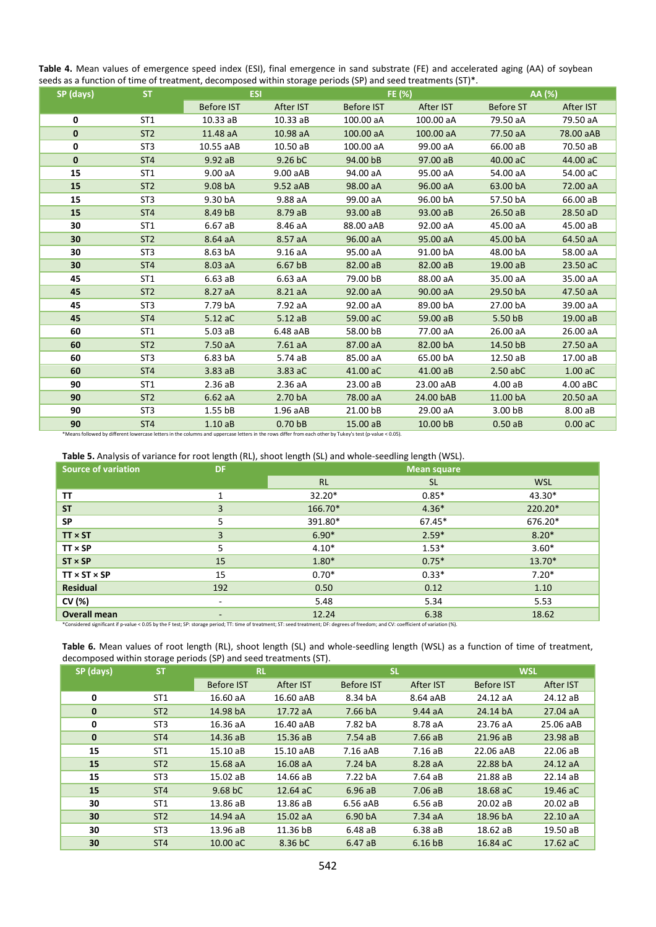**Table 4.** Mean values of emergence speed index (ESI), final emergence in sand substrate (FE) and accelerated aging (AA) of soybean seeds as a function of time of treatment, decomposed within storage periods (SP) and seed treatments (ST)\*.

| SP (days)    | <b>ST</b>       | <b>ESI</b>                                                                                                                                               |                    | FE (%)               |           | AA (%)           |           |  |
|--------------|-----------------|----------------------------------------------------------------------------------------------------------------------------------------------------------|--------------------|----------------------|-----------|------------------|-----------|--|
|              |                 | <b>Before IST</b>                                                                                                                                        | After IST          | <b>Before IST</b>    | After IST | <b>Before ST</b> | After IST |  |
| 0            | ST <sub>1</sub> | 10.33aB                                                                                                                                                  | $10.33a$ B         | 100.00 aA            | 100.00 aA | 79.50 aA         | 79.50 aA  |  |
| $\bf{0}$     | ST <sub>2</sub> | 11.48 aA                                                                                                                                                 | 10.98 aA           | 100.00 aA            | 100.00 aA | 77.50 aA         | 78.00 aAB |  |
| 0            | ST <sub>3</sub> | 10.55 aAB                                                                                                                                                | 10.50 aB           | 100.00 aA            | 99.00 aA  | 66.00 aB         | 70.50 aB  |  |
| $\mathbf{0}$ | ST <sub>4</sub> | 9.92 aB                                                                                                                                                  | 9.26 bC            | 94.00 bB             | 97.00 aB  | 40.00 aC         | 44.00 aC  |  |
| 15           | ST <sub>1</sub> | 9.00 aA                                                                                                                                                  | 9.00 aAB           | 94.00 aA             | 95.00 aA  | 54.00 aA         | 54.00 aC  |  |
| 15           | ST <sub>2</sub> | 9.08 bA                                                                                                                                                  | 9.52 aAB           | 98.00 aA             | 96.00 aA  | 63.00 bA         | 72.00 aA  |  |
| 15           | ST <sub>3</sub> | 9.30 bA                                                                                                                                                  | 9.88 aA            | 99.00 aA             | 96.00 bA  | 57.50 bA         | 66.00 aB  |  |
| 15           | ST <sub>4</sub> | 8.49 bB                                                                                                                                                  | 8.79 aB            | 93.00 aB             | 93.00 aB  | 26.50 aB         | 28.50 aD  |  |
| 30           | ST <sub>1</sub> | 6.67 aB                                                                                                                                                  | 8.46 aA            | 88.00 aAB            | 92.00 aA  | 45.00 aA         | 45.00 aB  |  |
| 30           | ST <sub>2</sub> | 8.64 aA                                                                                                                                                  | 8.57 aA            | 96.00 aA             | 95.00 aA  | 45.00 bA         | 64.50 aA  |  |
| 30           | ST <sub>3</sub> | 8.63 bA                                                                                                                                                  | 9.16aA             | 95.00 aA             | 91.00 bA  | 48.00 bA         | 58.00 aA  |  |
| 30           | ST <sub>4</sub> | 8.03 aA                                                                                                                                                  | 6.67 bB            | 82.00 aB<br>82.00 aB |           | 19.00 aB         | 23.50 aC  |  |
| 45           | ST <sub>1</sub> | 6.63aB                                                                                                                                                   | 6.63aA             | 79.00 bB             | 88.00 aA  | 35.00 aA         | 35.00 aA  |  |
| 45           | ST <sub>2</sub> | 8.27 aA                                                                                                                                                  | 8.21 aA            | 92.00 aA             | 90.00 aA  | 29.50 bA         | 47.50 aA  |  |
| 45           | ST <sub>3</sub> | 7.79 bA                                                                                                                                                  | 7.92 aA            | 92.00 aA             | 89.00 bA  | 27.00 bA         | 39.00 aA  |  |
| 45           | ST <sub>4</sub> | 5.12 aC                                                                                                                                                  | 5.12aB             | 59.00 aC             | 59.00 aB  | 5.50 bB          | 19.00 aB  |  |
| 60           | ST <sub>1</sub> | 5.03aB                                                                                                                                                   | 6.48aAB            | 58.00 bB             | 77.00 aA  | 26.00 aA         | 26.00 aA  |  |
| 60           | ST <sub>2</sub> | 7.50 aA                                                                                                                                                  | 7.61aA             | 87.00 aA             | 82.00 bA  | 14.50 bB         | 27.50 aA  |  |
| 60           | ST <sub>3</sub> | 6.83 bA                                                                                                                                                  | 5.74 aB            | 85.00 aA             | 65.00 bA  | 12.50 aB         | 17.00 aB  |  |
| 60           | ST <sub>4</sub> | 3.83aB                                                                                                                                                   | 3.83 aC            | 41.00 aC             | 41.00 aB  | $2.50$ abC       | $1.00$ aC |  |
| 90           | ST <sub>1</sub> | 2.36aB                                                                                                                                                   | 2.36aA             | 23.00 aB             | 23.00 aAB | $4.00a$ B        | 4.00 aBC  |  |
| 90           | ST <sub>2</sub> | 6.62aA                                                                                                                                                   | 2.70 bA            | 78.00 aA             | 24.00 bAB | 11.00 bA         | 20.50 aA  |  |
| 90           | ST <sub>3</sub> | 1.55 <sub>bB</sub>                                                                                                                                       | 1.96aAB            | 21.00 bB             | 29.00 aA  | 3.00 bB          | 8.00 aB   |  |
| 90           | ST <sub>4</sub> | 1.10aB                                                                                                                                                   | 0.70 <sub>bB</sub> | 15.00 aB             | 10.00 bB  | 0.50aB           | 0.00 aC   |  |
|              |                 | *Means followed by different lowercase letters in the columns and uppercase letters in the rows differ from each other by Tukey's test (p-value < 0.05). |                    |                      |           |                  |           |  |

**Table 5.** Analysis of variance for root length (RL), shoot length (SL) and whole-seedling length (WSL).

|                                                                                                                                                                                       | ,,,                      | ັ         |                    |            |
|---------------------------------------------------------------------------------------------------------------------------------------------------------------------------------------|--------------------------|-----------|--------------------|------------|
| <b>Source of variation</b>                                                                                                                                                            | <b>DF</b>                |           | <b>Mean square</b> |            |
|                                                                                                                                                                                       |                          | <b>RL</b> | <b>SL</b>          | <b>WSL</b> |
| TΤ                                                                                                                                                                                    | 1                        | 32.20*    | $0.85*$            | $43.30*$   |
| <b>ST</b>                                                                                                                                                                             | 3                        | 166.70*   | $4.36*$            | 220.20*    |
| <b>SP</b>                                                                                                                                                                             | 5                        | 391.80*   | $67.45*$           | 676.20*    |
| $TT \times ST$                                                                                                                                                                        | 3                        | $6.90*$   | $2.59*$            | $8.20*$    |
| $TT \times SP$                                                                                                                                                                        | 5                        | $4.10*$   | $1.53*$            | $3.60*$    |
| $ST \times SP$                                                                                                                                                                        | 15                       | $1.80*$   | $0.75*$            | 13.70*     |
| $TT \times ST \times SP$                                                                                                                                                              | 15                       | $0.70*$   | $0.33*$            | $7.20*$    |
| <b>Residual</b>                                                                                                                                                                       | 192                      | 0.50      | 0.12               | 1.10       |
| CV (%)                                                                                                                                                                                |                          | 5.48      | 5.34               | 5.53       |
| <b>Overall mean</b>                                                                                                                                                                   | $\overline{\phantom{0}}$ | 12.24     | 6.38               | 18.62      |
| *Considered significant if p-value < 0.05 by the F test; SP: storage period; TT: time of treatment; ST: seed treatment; DF: degrees of freedom; and CV: coefficient of variation (%). |                          |           |                    |            |

|                                                                  |  | Table 6. Mean values of root length (RL), shoot length (SL) and whole-seedling length (WSL) as a function of time of treatment, |  |  |  |  |
|------------------------------------------------------------------|--|---------------------------------------------------------------------------------------------------------------------------------|--|--|--|--|
| decomposed within storage periods (SP) and seed treatments (ST). |  |                                                                                                                                 |  |  |  |  |

| SP (days)   | <b>ST</b>       | <b>RL</b>           |           | <b>SL</b>         |                    |                   | <b>WSL</b> |  |  |
|-------------|-----------------|---------------------|-----------|-------------------|--------------------|-------------------|------------|--|--|
|             |                 | <b>Before IST</b>   | After IST | <b>Before IST</b> | After IST          | <b>Before IST</b> | After IST  |  |  |
| 0           | ST <sub>1</sub> | 16.60 aA            | 16.60 aAB | 8.34 bA           | 8.64 aAB           | 24.12 aA          | 24.12 aB   |  |  |
| 0           | ST <sub>2</sub> | 14.98 bA            | 17.72 aA  | 7.66 bA           | 9.44aA             | 24.14 bA          | 27.04 aA   |  |  |
| 0           | ST <sub>3</sub> | 16.36 aA            | 16.40 aAB | 7.82 bA           | 8.78 aA            | 23.76 aA          | 25.06 aAB  |  |  |
| $\mathbf 0$ | ST <sub>4</sub> | 14.36 aB            | 15.36 aB  | $7.54a$ B         | 7.66aB             | 21.96 aB          | 23.98 aB   |  |  |
| 15          | ST <sub>1</sub> | 15.10 aB            | 15.10 aAB | 7.16aAB           | 7.16aB             | 22.06 aAB         | 22.06 aB   |  |  |
| 15          | ST <sub>2</sub> | 15.68 aA            | 16.08 aA  | 7.24 bA           | 8.28 aA            | 22.88 bA          | 24.12 aA   |  |  |
| 15          | ST <sub>3</sub> | 15.02 aB            | 14.66 aB  | 7.22 bA           | $7.64a$ B          | 21.88 aB          | 22.14 aB   |  |  |
| 15          | ST <sub>4</sub> | 9.68 <sub>b</sub> C | 12.64 aC  | 6.96aB            | $7.06$ aB          | 18.68 aC          | 19.46 aC   |  |  |
| 30          | ST <sub>1</sub> | 13.86 aB            | 13.86 aB  | 6.56aAB           | 6.56aB             | 20.02 aB          | 20.02 aB   |  |  |
| 30          | ST <sub>2</sub> | 14.94 aA            | 15.02 aA  | 6.90 bA           | 7.34aA             | 18.96 bA          | 22.10 aA   |  |  |
| 30          | ST <sub>3</sub> | 13.96 aB            | 11.36 bB  | 6.48 aB           | $6.38a$ B          | 18.62 aB          | 19.50 aB   |  |  |
| 30          | ST <sub>4</sub> | 10.00 aC            | 8.36 bC   | 6.47aB            | 6.16 <sub>bB</sub> | 16.84 aC          | 17.62 aC   |  |  |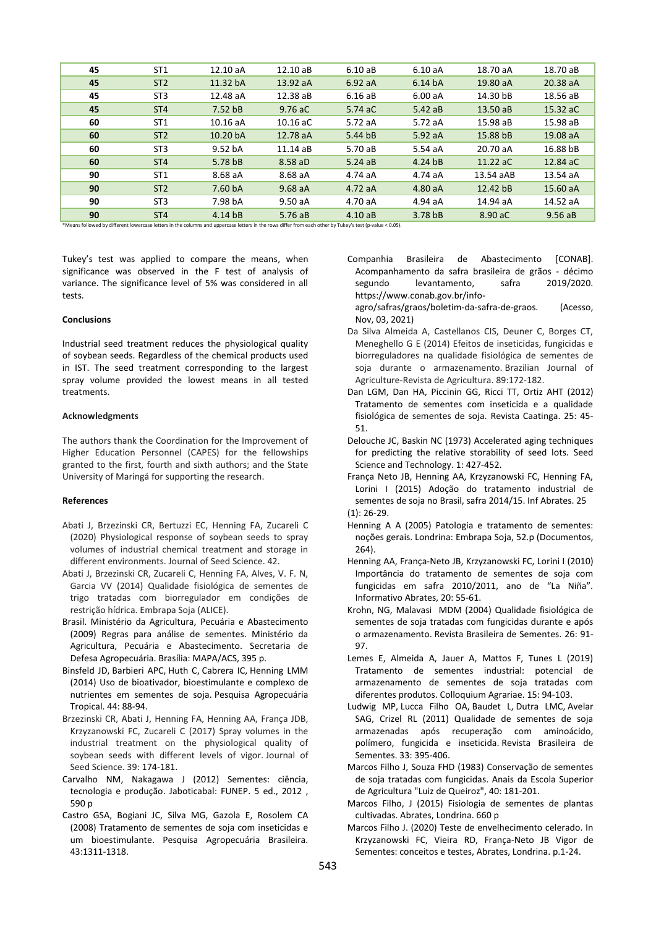| 45 | ST <sub>1</sub>                                                                                                                                          | 12.10 aA           | $12.10 \text{ a}B$ | $6.10a$ B | 6.10aA    | 18.70 aA   | 18.70 aB |  |  |  |  |  |
|----|----------------------------------------------------------------------------------------------------------------------------------------------------------|--------------------|--------------------|-----------|-----------|------------|----------|--|--|--|--|--|
| 45 | ST <sub>2</sub>                                                                                                                                          | 11.32 bA           | 13.92 aA           | 6.92aA    | 6.14 bA   | 19.80 aA   | 20.38 aA |  |  |  |  |  |
| 45 | ST <sub>3</sub>                                                                                                                                          | 12.48 aA           | 12.38 aB           | $6.16a$ B | 6.00aA    | 14.30 bB   | 18.56 aB |  |  |  |  |  |
| 45 | ST <sub>4</sub>                                                                                                                                          | 7.52 <sub>bB</sub> | $9.76$ aC          | 5.74 aC   | $5.42a$ B | 13.50 aB   | 15.32 aC |  |  |  |  |  |
| 60 | ST <sub>1</sub>                                                                                                                                          | 10.16 aA           | $10.16$ aC         | 5.72 aA   | 5.72 aA   | 15.98 aB   | 15.98 aB |  |  |  |  |  |
| 60 | ST <sub>2</sub>                                                                                                                                          | 10.20 bA           | 12.78 aA           | $5.44$ bB | 5.92aA    | 15.88 bB   | 19.08 aA |  |  |  |  |  |
| 60 | ST <sub>3</sub>                                                                                                                                          | 9.52 bA            | 11.14 aB           | 5.70 aB   | 5.54 aA   | 20.70 aA   | 16.88 bB |  |  |  |  |  |
| 60 | ST <sub>4</sub>                                                                                                                                          | 5.78 bB            | 8.58 aD            | 5.24a     | $4.24$ bB | $11.22$ aC | 12.84 aC |  |  |  |  |  |
| 90 | ST <sub>1</sub>                                                                                                                                          | 8.68 aA            | 8.68 aA            | 4.74 aA   | $4.74a$ A | 13.54 aAB  | 13.54 aA |  |  |  |  |  |
| 90 | ST <sub>2</sub>                                                                                                                                          | 7.60 bA            | 9.68aA             | 4.72aA    | 4.80 aA   | 12.42 bB   | 15.60 aA |  |  |  |  |  |
| 90 | ST <sub>3</sub>                                                                                                                                          | 7.98 bA            | 9.50 aA            | 4.70 aA   | 4.94 aA   | 14.94 aA   | 14.52 aA |  |  |  |  |  |
| 90 | ST <sub>4</sub>                                                                                                                                          | $4.14$ bB          | 5.76aB             | $4.10a$ B | 3.78 bB   | 8.90 aC    | 9.56aB   |  |  |  |  |  |
|    | *Means followed by different lowercase letters in the columns and uppercase letters in the rows differ from each other by Tukey's test (p-value < 0.05). |                    |                    |           |           |            |          |  |  |  |  |  |

Tukey's test was applied to compare the means, when significance was observed in the F test of analysis of variance. The significance level of 5% was considered in all tests.

## **Conclusions**

Industrial seed treatment reduces the physiological quality of soybean seeds. Regardless of the chemical products used in IST. The seed treatment corresponding to the largest spray volume provided the lowest means in all tested treatments.

#### **Acknowledgments**

The authors thank the Coordination for the Improvement of Higher Education Personnel (CAPES) for the fellowships granted to the first, fourth and sixth authors; and the State University of Maringá for supporting the research.

## **References**

- Abati J, Brzezinski CR, Bertuzzi EC, Henning FA, Zucareli C (2020) Physiological response of soybean seeds to spray volumes of industrial chemical treatment and storage in different environments. Journal of Seed Science. 42.
- Abati J, Brzezinski CR, Zucareli C, Henning FA, Alves, V. F. N, Garcia VV (2014) Qualidade fisiológica de sementes de trigo tratadas com biorregulador em condições de restrição hídrica. Embrapa Soja (ALICE).
- Brasil. Ministério da Agricultura, Pecuária e Abastecimento (2009) Regras para análise de sementes. Ministério da Agricultura, Pecuária e Abastecimento. Secretaria de Defesa Agropecuária. Brasília: MAPA/ACS, 395 p.
- Binsfeld JD, Barbieri APC, Huth C, Cabrera IC, Henning LMM (2014) Uso de bioativador, bioestimulante e complexo de nutrientes em sementes de soja. Pesquisa Agropecuária Tropical. 44: 88-94.
- Brzezinski CR, Abati J, Henning FA, Henning AA, França JDB, Krzyzanowski FC, Zucareli C (2017) Spray volumes in the industrial treatment on the physiological quality of soybean seeds with different levels of vigor. Journal of Seed Science. 39: 174-181.
- Carvalho NM, Nakagawa J (2012) Sementes: ciência, tecnologia e produção. Jaboticabal: FUNEP. 5 ed., 2012 , 590 p
- Castro GSA, Bogiani JC, Silva MG, Gazola E, Rosolem CA (2008) Tratamento de sementes de soja com inseticidas e um bioestimulante. Pesquisa Agropecuária Brasileira. 43:1311-1318.

Companhia Brasileira de Abastecimento [CONAB]. Acompanhamento da safra brasileira de grãos - décimo segundo levantamento, safra 2019/2020. [https://www.conab.gov.br/info-](https://www.conab.gov.br/info-agro/safras/graos/boletim-da-safra-de-graos)

[agro/safras/graos/boletim-da-safra-de-graos.](https://www.conab.gov.br/info-agro/safras/graos/boletim-da-safra-de-graos) (Acesso, Nov, 03, 2021)

- Da Silva Almeida A, Castellanos CIS, Deuner C, Borges CT, Meneghello G E (2014) Efeitos de inseticidas, fungicidas e biorreguladores na qualidade fisiológica de sementes de soja durante o armazenamento. Brazilian Journal of Agriculture-Revista de Agricultura. 89:172-182.
- Dan LGM, Dan HA, Piccinin GG, Ricci TT, Ortiz AHT (2012) Tratamento de sementes com inseticida e a qualidade fisiológica de sementes de soja. Revista Caatinga. 25: 45- 51.
- Delouche JC, Baskin NC (1973) Accelerated aging techniques for predicting the relative storability of seed lots. Seed Science and Technology. 1: 427-452.
- França Neto JB, Henning AA, Krzyzanowski FC, Henning FA, Lorini I (2015) Adoção do tratamento industrial de sementes de soja no Brasil, safra 2014/15. Inf Abrates. 25 (1): 26-29.
- Henning A A (2005) Patologia e tratamento de sementes: noções gerais. Londrina: Embrapa Soja, 52.p (Documentos, 264).
- Henning AA, França-Neto JB, Krzyzanowski FC, Lorini I (2010) Importância do tratamento de sementes de soja com fungicidas em safra 2010/2011, ano de "La Niña". Informativo Abrates, 20: 55-61.
- Krohn, NG, Malavasi MDM (2004) Qualidade fisiológica de sementes de soja tratadas com fungicidas durante e após o armazenamento. Revista Brasileira de Sementes. 26: 91- 97.
- Lemes E, Almeida A, Jauer A, Mattos F, Tunes L (2019) Tratamento de sementes industrial: potencial de armazenamento de sementes de soja tratadas com diferentes produtos. Colloquium Agrariae. 15: 94-103.
- Ludwig MP, Lucca Filho OA, Baudet L, Dutra LMC, Avelar SAG, Crizel RL (2011) Qualidade de sementes de soja armazenadas após recuperação com aminoácido, polímero, fungicida e inseticida. Revista Brasileira de Sementes. 33: 395-406.
- Marcos Filho J, Souza FHD (1983) Conservação de sementes de soja tratadas com fungicidas. Anais da Escola Superior de Agricultura "Luiz de Queiroz", 40: 181-201.
- Marcos Filho, J (2015) Fisiologia de sementes de plantas cultivadas. Abrates, Londrina. 660 p
- Marcos Filho J. (2020) Teste de envelhecimento celerado. In Krzyzanowski FC, Vieira RD, França-Neto JB Vigor de Sementes: conceitos e testes, Abrates, Londrina. p.1-24.